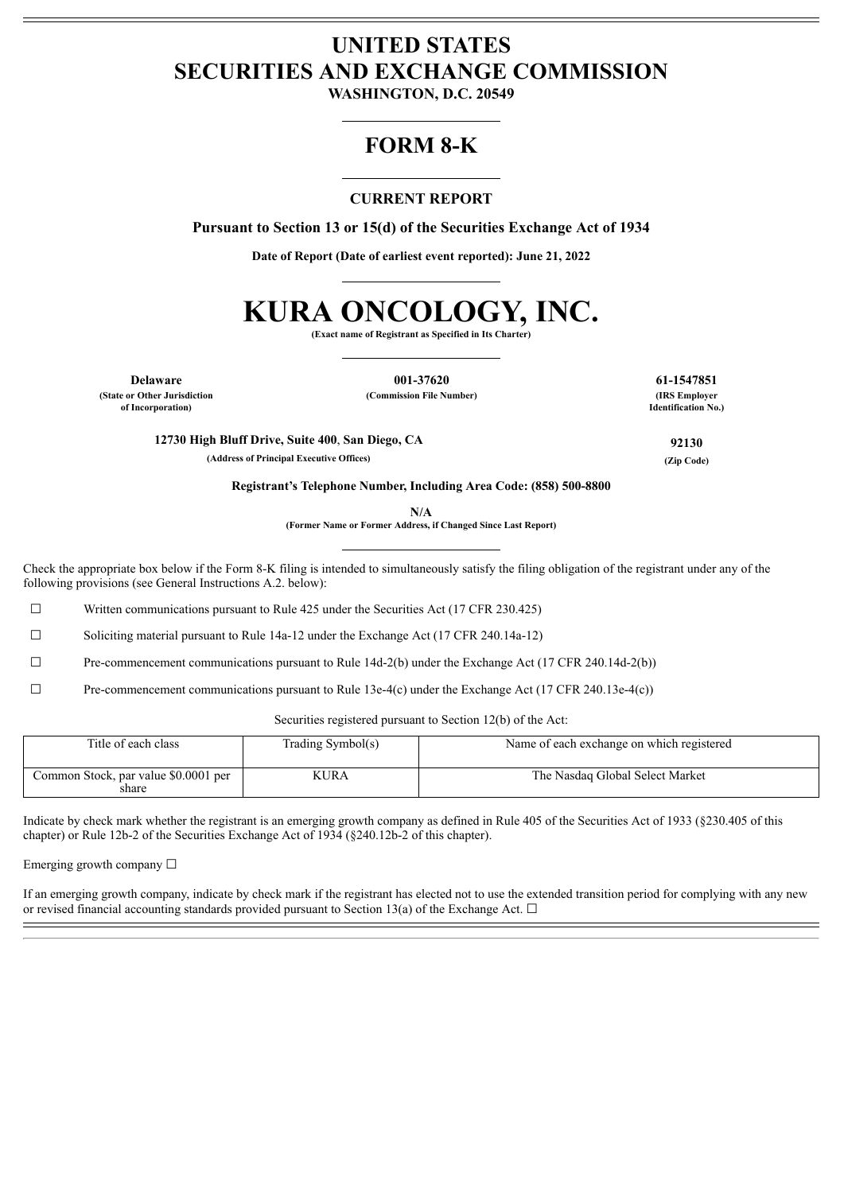# **UNITED STATES SECURITIES AND EXCHANGE COMMISSION**

**WASHINGTON, D.C. 20549**

## **FORM 8-K**

## **CURRENT REPORT**

**Pursuant to Section 13 or 15(d) of the Securities Exchange Act of 1934**

**Date of Report (Date of earliest event reported): June 21, 2022**

# **KURA ONCOLOGY, INC.**

**(Exact name of Registrant as Specified in Its Charter)**

**Delaware 001-37620 61-1547851**

**(State or Other Jurisdiction of Incorporation)**

**(Commission File Number) (IRS Employer**

**Identification No.)**

**12730 High Bluff Drive, Suite 400**, **San Diego, CA 92130**

**(Address of Principal Executive Offices) (Zip Code)**

**Registrant's Telephone Number, Including Area Code: (858) 500-8800**

**N/A**

**(Former Name or Former Address, if Changed Since Last Report)**

Check the appropriate box below if the Form 8-K filing is intended to simultaneously satisfy the filing obligation of the registrant under any of the following provisions (see General Instructions A.2. below):

 $\Box$  Written communications pursuant to Rule 425 under the Securities Act (17 CFR 230.425)

☐ Soliciting material pursuant to Rule 14a-12 under the Exchange Act (17 CFR 240.14a-12)

☐ Pre-commencement communications pursuant to Rule 14d-2(b) under the Exchange Act (17 CFR 240.14d-2(b))

☐ Pre-commencement communications pursuant to Rule 13e-4(c) under the Exchange Act (17 CFR 240.13e-4(c))

Securities registered pursuant to Section 12(b) of the Act:

| Title of each class                           | Trading Symbol(s) | Name of each exchange on which registered |
|-----------------------------------------------|-------------------|-------------------------------------------|
| Common Stock, par value \$0.0001 per<br>share | <b>KURA</b>       | The Nasdaq Global Select Market           |

Indicate by check mark whether the registrant is an emerging growth company as defined in Rule 405 of the Securities Act of 1933 (§230.405 of this chapter) or Rule 12b-2 of the Securities Exchange Act of 1934 (§240.12b-2 of this chapter).

Emerging growth company  $\Box$ 

If an emerging growth company, indicate by check mark if the registrant has elected not to use the extended transition period for complying with any new or revised financial accounting standards provided pursuant to Section 13(a) of the Exchange Act.  $\Box$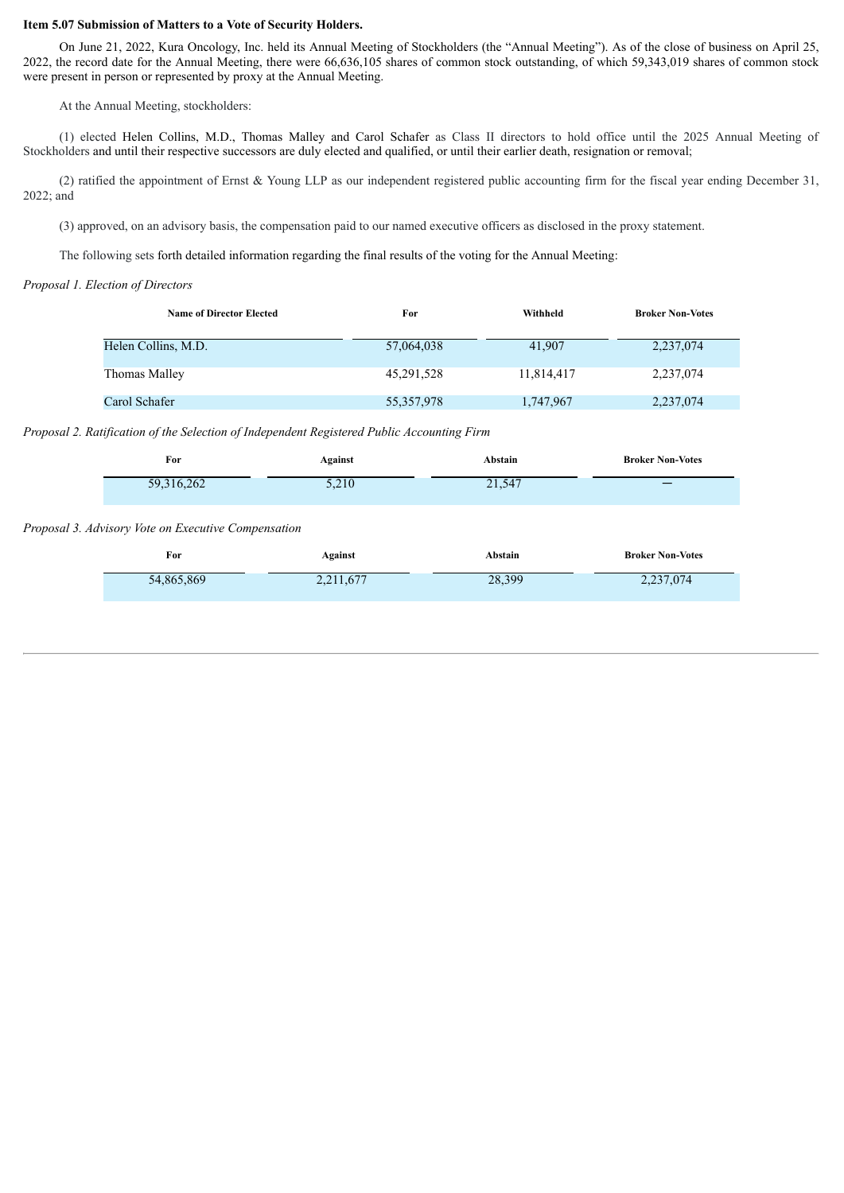#### **Item 5.07 Submission of Matters to a Vote of Security Holders.**

On June 21, 2022, Kura Oncology, Inc. held its Annual Meeting of Stockholders (the "Annual Meeting"). As of the close of business on April 25, 2022, the record date for the Annual Meeting, there were 66,636,105 shares of common stock outstanding, of which 59,343,019 shares of common stock were present in person or represented by proxy at the Annual Meeting.

At the Annual Meeting, stockholders:

(1) elected Helen Collins, M.D., Thomas Malley and Carol Schafer as Class II directors to hold office until the 2025 Annual Meeting of Stockholders and until their respective successors are duly elected and qualified, or until their earlier death, resignation or removal;

(2) ratified the appointment of Ernst & Young LLP as our independent registered public accounting firm for the fiscal year ending December 31, 2022; and

(3) approved, on an advisory basis, the compensation paid to our named executive officers as disclosed in the proxy statement.

The following sets forth detailed information regarding the final results of the voting for the Annual Meeting:

#### *Proposal 1. Election of Directors*

| <b>Name of Director Elected</b> | For        | Withheld   | <b>Broker Non-Votes</b> |
|---------------------------------|------------|------------|-------------------------|
| Helen Collins, M.D.             | 57,064,038 | 41,907     | 2,237,074               |
| Thomas Malley                   | 45,291,528 | 11,814,417 | 2,237,074               |
| Carol Schafer                   | 55,357,978 | 1,747,967  | 2,237,074               |

#### *Proposal 2. Ratification of the Selection of Independent Registered Public Accounting Firm*

| For        | Against | Abstain | <b>Broker Non-Votes</b> |
|------------|---------|---------|-------------------------|
| 59,316,262 | 5,210   | 21,547  |                         |
|            |         |         |                         |

#### *Proposal 3. Advisory Vote on Executive Compensation*

| For        | Against   | Abstain | <b>Broker Non-Votes</b> |
|------------|-----------|---------|-------------------------|
| 54,865,869 | 2,211,677 | 28,399  | 2,237,074               |